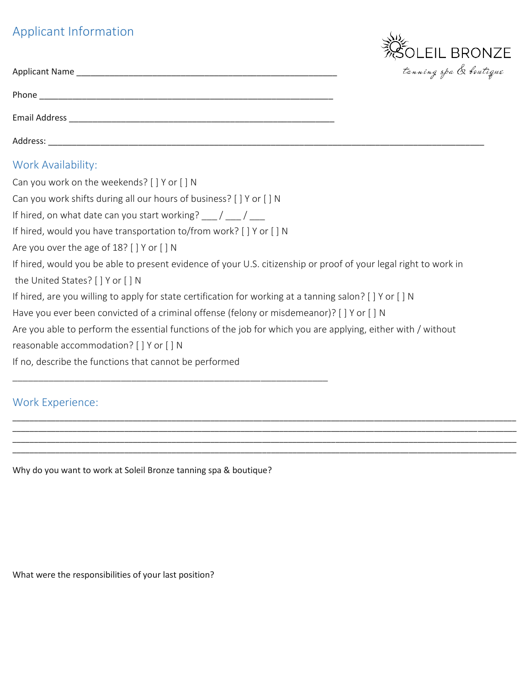## Applicant Information



|                                                                                                                                                       | tanning spa & bout |
|-------------------------------------------------------------------------------------------------------------------------------------------------------|--------------------|
|                                                                                                                                                       |                    |
|                                                                                                                                                       |                    |
|                                                                                                                                                       |                    |
| Work Availability:                                                                                                                                    |                    |
| Can you work on the weekends? [ ] Y or [ ] N                                                                                                          |                    |
| Can you work shifts during all our hours of business? [ ] Y or [ ] N                                                                                  |                    |
| If hired, on what date can you start working? $\frac{1}{\sqrt{2}}$ / $\frac{1}{\sqrt{2}}$                                                             |                    |
| If hired, would you have transportation to/from work? [ ] Y or [ ] N                                                                                  |                    |
| Are you over the age of 18? [ ] Y or [ ] N                                                                                                            |                    |
| If hired, would you be able to present evidence of your U.S. citizenship or proof of your legal right to work in<br>the United States? [ ] Y or [ ] N |                    |
| If hired, are you willing to apply for state certification for working at a tanning salon? [ ] Y or [ ] N                                             |                    |
| Have you ever been convicted of a criminal offense (felony or misdemeanor)? [ ] Y or [ ] N                                                            |                    |
| Are you able to perform the essential functions of the job for which you are applying, either with / without                                          |                    |
| reasonable accommodation? [ ] Y or [ ] N                                                                                                              |                    |
| If no, describe the functions that cannot be performed                                                                                                |                    |
|                                                                                                                                                       |                    |

\_\_\_\_\_\_\_\_\_\_\_\_\_\_\_\_\_\_\_\_\_\_\_\_\_\_\_\_\_\_\_\_\_\_\_\_\_\_\_\_\_\_\_\_\_\_\_\_\_\_\_\_\_\_\_\_\_\_\_\_\_\_\_\_\_\_\_\_\_\_\_\_\_\_\_\_\_\_\_\_\_\_\_\_\_\_\_\_\_\_\_\_\_\_\_\_\_\_\_\_\_\_\_\_\_\_\_\_\_\_\_\_\_\_\_\_\_ \_\_\_\_\_\_\_\_\_\_\_\_\_\_\_\_\_\_\_\_\_\_\_\_\_\_\_\_\_\_\_\_\_\_\_\_\_\_\_\_\_\_\_\_\_\_\_\_\_\_\_\_\_\_\_\_\_\_\_\_\_\_\_\_\_\_\_\_\_\_\_\_\_\_\_\_\_\_\_\_\_\_\_\_\_\_\_\_\_\_\_\_\_\_\_\_\_\_\_\_\_\_\_\_\_\_\_\_\_\_\_\_\_\_\_\_\_ \_\_\_\_\_\_\_\_\_\_\_\_\_\_\_\_\_\_\_\_\_\_\_\_\_\_\_\_\_\_\_\_\_\_\_\_\_\_\_\_\_\_\_\_\_\_\_\_\_\_\_\_\_\_\_\_\_\_\_\_\_\_\_\_\_\_\_\_\_\_\_\_\_\_\_\_\_\_\_\_\_\_\_\_\_\_\_\_\_\_\_\_\_\_\_\_\_\_\_\_\_\_\_\_\_\_\_\_\_\_\_\_\_\_\_\_\_

## Work Experience:

Why do you want to work at Soleil Bronze tanning spa & boutique?

What were the responsibilities of your last position?